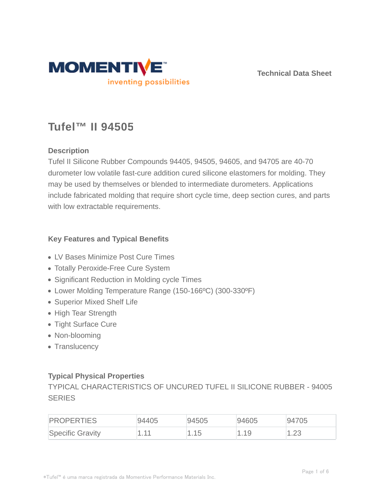

**Technical Data Sheet**

# **Tufel™ II 94505**

# **Description**

Tufel II Silicone Rubber Compounds 94405, 94505, 94605, and 94705 are 40-70 durometer low volatile fast-cure addition cured silicone elastomers for molding. They may be used by themselves or blended to intermediate durometers. Applications include fabricated molding that require short cycle time, deep section cures, and parts with low extractable requirements.

# **Key Features and Typical Benefits**

- LV Bases Minimize Post Cure Times
- Totally Peroxide-Free Cure System
- Significant Reduction in Molding cycle Times
- Lower Molding Temperature Range (150-166ºC) (300-330ºF)
- Superior Mixed Shelf Life
- High Tear Strength
- Tight Surface Cure
- Non-blooming
- Translucency

# **Typical Physical Properties**

TYPICAL CHARACTERISTICS OF UNCURED TUFEL II SILICONE RUBBER - 94005 **SERIES** 

| <b>PROPERTIES</b> | 94405 | 94505 | 94605 | 94705            |
|-------------------|-------|-------|-------|------------------|
| Specific Gravity  | $-11$ | 1.15  | . .19 | $\cap$<br>ں کہ ا |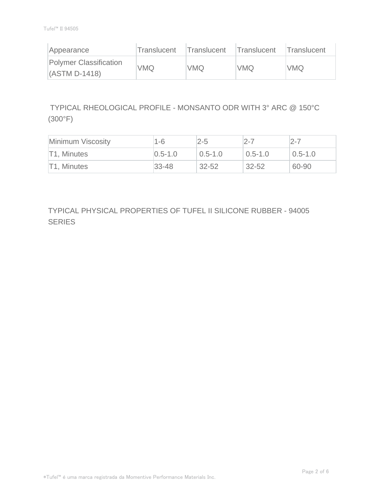| Appearance                                       | Translucent | Translucent | Translucent | <b>Translucent</b> |
|--------------------------------------------------|-------------|-------------|-------------|--------------------|
| <b>Polymer Classification</b><br>$(ASTM D-1418)$ | VMQ         | <b>VMQ</b>  | <b>VMQ</b>  | <b>VMQ</b>         |

 TYPICAL RHEOLOGICAL PROFILE - MONSANTO ODR WITH 3° ARC @ 150°C (300°F)

| Minimum Viscosity | $1 - 6$       | $2 - 5$     | $2 - 7$     | $2 - 7$     |
|-------------------|---------------|-------------|-------------|-------------|
| T1. Minutes       | $ 0.5 - 1.0 $ | $0.5 - 1.0$ | $0.5 - 1.0$ | $0.5 - 1.0$ |
| T1, Minutes       | $ 33 - 48 $   | $32 - 52$   | 32-52       | 60-90       |

TYPICAL PHYSICAL PROPERTIES OF TUFEL II SILICONE RUBBER - 94005 SERIES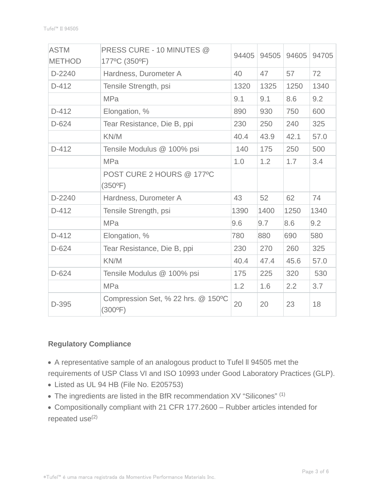| <b>ASTM</b>   | PRESS CURE - 10 MINUTES @                              | 94405 | 94505 | 94605 | 94705 |
|---------------|--------------------------------------------------------|-------|-------|-------|-------|
| <b>METHOD</b> | 177°C (350°F)                                          |       |       |       |       |
| D-2240        | Hardness, Durometer A                                  | 40    | 47    | 57    | 72    |
| $D-412$       | Tensile Strength, psi                                  | 1320  | 1325  | 1250  | 1340  |
|               | <b>MPa</b>                                             | 9.1   | 9.1   | 8.6   | 9.2   |
| $D-412$       | Elongation, %                                          | 890   | 930   | 750   | 600   |
| $D-624$       | Tear Resistance, Die B, ppi                            | 230   | 250   | 240   | 325   |
|               | KN/M                                                   | 40.4  | 43.9  | 42.1  | 57.0  |
| $D-412$       | Tensile Modulus @ 100% psi                             | 140   | 175   | 250   | 500   |
|               | <b>MPa</b>                                             | 1.0   | 1.2   | 1.7   | 3.4   |
|               | POST CURE 2 HOURS @ 177°C                              |       |       |       |       |
|               | $(350^{\circ}F)$                                       |       |       |       |       |
| D-2240        | Hardness, Durometer A                                  | 43    | 52    | 62    | 74    |
| $D-412$       | Tensile Strength, psi                                  | 1390  | 1400  | 1250  | 1340  |
|               | <b>MPa</b>                                             | 9.6   | 9.7   | 8.6   | 9.2   |
| $D-412$       | Elongation, %                                          | 780   | 880   | 690   | 580   |
| $D-624$       | Tear Resistance, Die B, ppi                            | 230   | 270   | 260   | 325   |
|               | KN/M                                                   | 40.4  | 47.4  | 45.6  | 57.0  |
| $D-624$       | Tensile Modulus @ 100% psi                             | 175   | 225   | 320   | 530   |
|               | <b>MPa</b>                                             | 1.2   | 1.6   | 2.2   | 3.7   |
| D-395         | Compression Set, % 22 hrs. @ 150°C<br>$(300^{\circ}F)$ | 20    | 20    | 23    | 18    |

## **Regulatory Compliance**

A representative sample of an analogous product to Tufel ll 94505 met the requirements of USP Class VI and ISO 10993 under Good Laboratory Practices (GLP).

- Listed as UL 94 HB (File No. E205753)
- The ingredients are listed in the BfR recommendation XV "Silicones" (1)
- Compositionally compliant with 21 CFR 177.2600 Rubber articles intended for repeated use<sup>(2)</sup>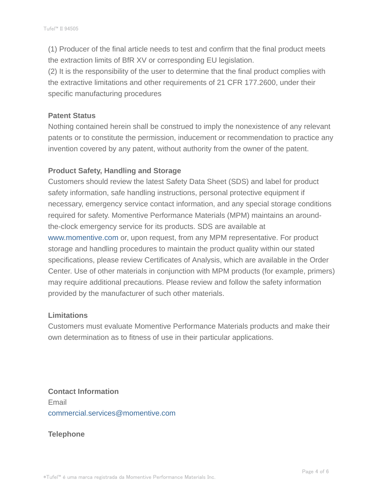(1) Producer of the final article needs to test and confirm that the final product meets the extraction limits of BfR XV or corresponding EU legislation.

(2) It is the responsibility of the user to determine that the final product complies with the extractive limitations and other requirements of 21 CFR 177.2600, under their specific manufacturing procedures

#### **Patent Status**

Nothing contained herein shall be construed to imply the nonexistence of any relevant patents or to constitute the permission, inducement or recommendation to practice any invention covered by any patent, without authority from the owner of the patent.

## **Product Safety, Handling and Storage**

Customers should review the latest Safety Data Sheet (SDS) and label for product safety information, safe handling instructions, personal protective equipment if necessary, emergency service contact information, and any special storage conditions required for safety. Momentive Performance Materials (MPM) maintains an aroundthe-clock emergency service for its products. SDS are available at www.momentive.com or, upon request, from any MPM representative. For product storage and handling procedures to maintain the product quality within our stated specifications, please review Certificates of Analysis, which are available in the Order Center. Use of other materials in conjunction with MPM products (for example, primers) may require additional precautions. Please review and follow the safety information provided by the manufacturer of such other materials.

## **Limitations**

Customers must evaluate Momentive Performance Materials products and make their own determination as to fitness of use in their particular applications.

**Contact Information** Email commercial.services@momentive.com

## **Telephone**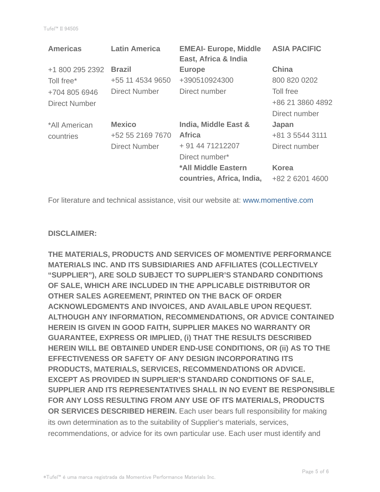| <b>Americas</b>      | <b>Latin America</b> | <b>EMEAI- Europe, Middle</b><br>East, Africa & India | <b>ASIA PACIFIC</b> |
|----------------------|----------------------|------------------------------------------------------|---------------------|
| +1 800 295 2392      | <b>Brazil</b>        | <b>Europe</b>                                        | <b>China</b>        |
| Toll free*           | +55 11 4534 9650     | +390510924300                                        | 800 820 0202        |
| +704 805 6946        | Direct Number        | Direct number                                        | Toll free           |
| <b>Direct Number</b> |                      |                                                      | +86 21 3860 4892    |
|                      |                      |                                                      | Direct number       |
| *All American        | <b>Mexico</b>        | India, Middle East &                                 | Japan               |
| countries            | +52 55 2169 7670     | <b>Africa</b>                                        | +81 3 5544 3111     |
|                      | <b>Direct Number</b> | + 91 44 71212207                                     | Direct number       |
|                      |                      | Direct number*                                       |                     |
|                      |                      | *All Middle Eastern                                  | <b>Korea</b>        |
|                      |                      | countries, Africa, India,                            | +82 2 6201 4600     |

For literature and technical assistance, visit our website at: www.momentive.com

#### **DISCLAIMER:**

**THE MATERIALS, PRODUCTS AND SERVICES OF MOMENTIVE PERFORMANCE MATERIALS INC. AND ITS SUBSIDIARIES AND AFFILIATES (COLLECTIVELY "SUPPLIER"), ARE SOLD SUBJECT TO SUPPLIER'S STANDARD CONDITIONS OF SALE, WHICH ARE INCLUDED IN THE APPLICABLE DISTRIBUTOR OR OTHER SALES AGREEMENT, PRINTED ON THE BACK OF ORDER ACKNOWLEDGMENTS AND INVOICES, AND AVAILABLE UPON REQUEST. ALTHOUGH ANY INFORMATION, RECOMMENDATIONS, OR ADVICE CONTAINED HEREIN IS GIVEN IN GOOD FAITH, SUPPLIER MAKES NO WARRANTY OR GUARANTEE, EXPRESS OR IMPLIED, (i) THAT THE RESULTS DESCRIBED HEREIN WILL BE OBTAINED UNDER END-USE CONDITIONS, OR (ii) AS TO THE EFFECTIVENESS OR SAFETY OF ANY DESIGN INCORPORATING ITS PRODUCTS, MATERIALS, SERVICES, RECOMMENDATIONS OR ADVICE. EXCEPT AS PROVIDED IN SUPPLIER'S STANDARD CONDITIONS OF SALE, SUPPLIER AND ITS REPRESENTATIVES SHALL IN NO EVENT BE RESPONSIBLE FOR ANY LOSS RESULTING FROM ANY USE OF ITS MATERIALS, PRODUCTS OR SERVICES DESCRIBED HEREIN.** Each user bears full responsibility for making its own determination as to the suitability of Supplier's materials, services, recommendations, or advice for its own particular use. Each user must identify and